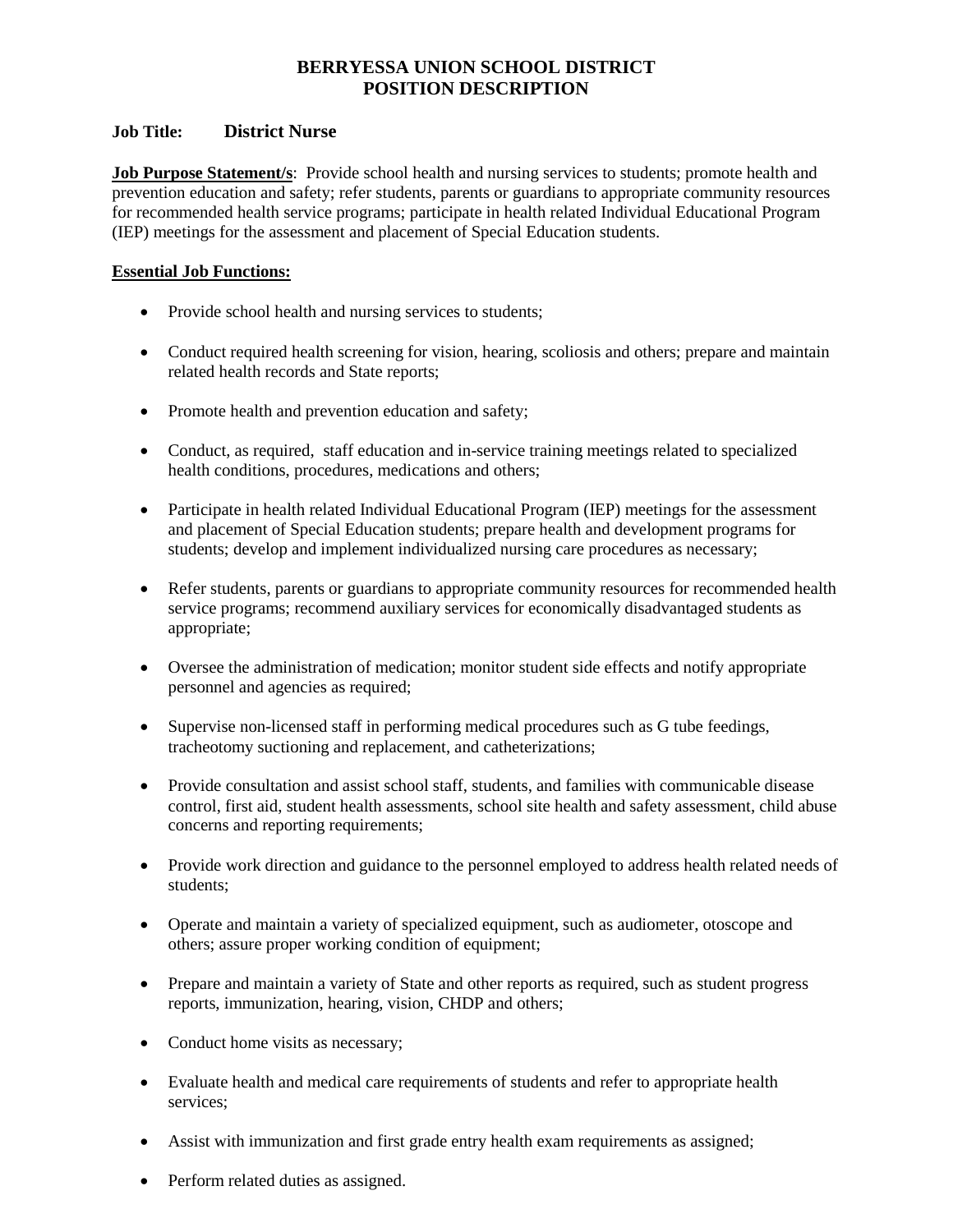# **BERRYESSA UNION SCHOOL DISTRICT POSITION DESCRIPTION**

# **Job Title: District Nurse**

**Job Purpose Statement/s**: Provide school health and nursing services to students; promote health and prevention education and safety; refer students, parents or guardians to appropriate community resources for recommended health service programs; participate in health related Individual Educational Program (IEP) meetings for the assessment and placement of Special Education students.

## **Essential Job Functions:**

- Provide school health and nursing services to students;
- Conduct required health screening for vision, hearing, scoliosis and others; prepare and maintain related health records and State reports;
- Promote health and prevention education and safety;
- Conduct, as required, staff education and in-service training meetings related to specialized health conditions, procedures, medications and others;
- Participate in health related Individual Educational Program (IEP) meetings for the assessment and placement of Special Education students; prepare health and development programs for students; develop and implement individualized nursing care procedures as necessary;
- Refer students, parents or guardians to appropriate community resources for recommended health service programs; recommend auxiliary services for economically disadvantaged students as appropriate;
- Oversee the administration of medication; monitor student side effects and notify appropriate personnel and agencies as required;
- Supervise non-licensed staff in performing medical procedures such as G tube feedings, tracheotomy suctioning and replacement, and catheterizations;
- Provide consultation and assist school staff, students, and families with communicable disease control, first aid, student health assessments, school site health and safety assessment, child abuse concerns and reporting requirements;
- Provide work direction and guidance to the personnel employed to address health related needs of students<sup>.</sup>
- Operate and maintain a variety of specialized equipment, such as audiometer, otoscope and others; assure proper working condition of equipment;
- Prepare and maintain a variety of State and other reports as required, such as student progress reports, immunization, hearing, vision, CHDP and others;
- Conduct home visits as necessary;
- Evaluate health and medical care requirements of students and refer to appropriate health services;
- Assist with immunization and first grade entry health exam requirements as assigned;
- Perform related duties as assigned.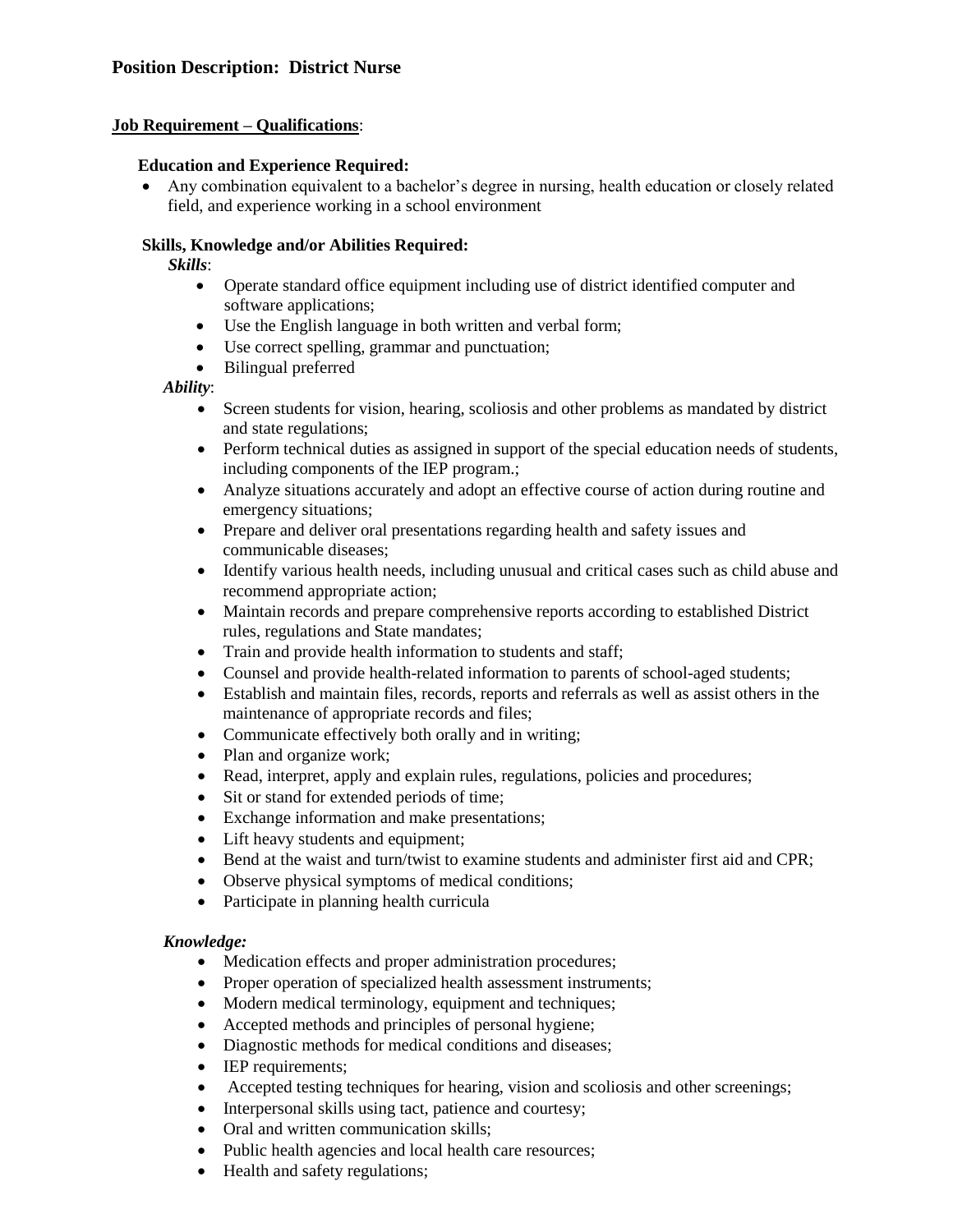### **Job Requirement – Qualifications**:

### **Education and Experience Required:**

 Any combination equivalent to a bachelor's degree in nursing, health education or closely related field, and experience working in a school environment

## **Skills, Knowledge and/or Abilities Required:**

*Skills*:

- Operate standard office equipment including use of district identified computer and software applications;
- Use the English language in both written and verbal form;
- Use correct spelling, grammar and punctuation;
- Bilingual preferred

*Ability*:

- Screen students for vision, hearing, scoliosis and other problems as mandated by district and state regulations;
- Perform technical duties as assigned in support of the special education needs of students, including components of the IEP program.;
- Analyze situations accurately and adopt an effective course of action during routine and emergency situations;
- Prepare and deliver oral presentations regarding health and safety issues and communicable diseases;
- Identify various health needs, including unusual and critical cases such as child abuse and recommend appropriate action;
- Maintain records and prepare comprehensive reports according to established District rules, regulations and State mandates;
- Train and provide health information to students and staff;
- Counsel and provide health-related information to parents of school-aged students;
- Establish and maintain files, records, reports and referrals as well as assist others in the maintenance of appropriate records and files;
- Communicate effectively both orally and in writing;
- Plan and organize work;
- Read, interpret, apply and explain rules, regulations, policies and procedures;
- Sit or stand for extended periods of time;
- Exchange information and make presentations;
- Lift heavy students and equipment;
- Bend at the waist and turn/twist to examine students and administer first aid and CPR;
- Observe physical symptoms of medical conditions;
- Participate in planning health curricula

#### *Knowledge:*

- Medication effects and proper administration procedures;
- Proper operation of specialized health assessment instruments;
- Modern medical terminology, equipment and techniques;
- Accepted methods and principles of personal hygiene;
- Diagnostic methods for medical conditions and diseases;
- IEP requirements;
- Accepted testing techniques for hearing, vision and scoliosis and other screenings;
- Interpersonal skills using tact, patience and courtesy;
- Oral and written communication skills;
- Public health agencies and local health care resources;
- Health and safety regulations;